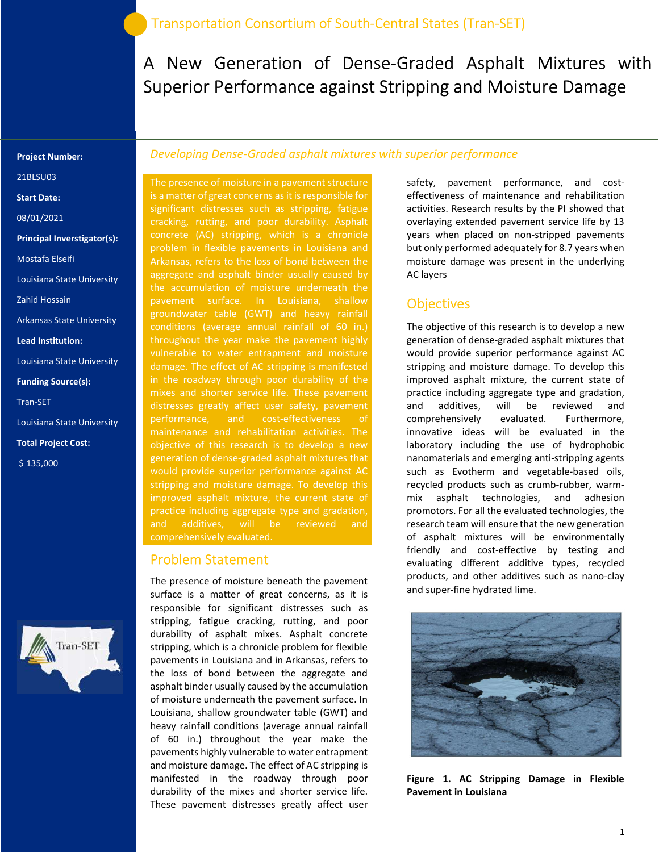A New Generation of Dense-Graded Asphalt Mixtures with Superior Performance against Stripping and Moisture Damage

#### Project Number:

21BLSU03

Start Date:

08/01/2021

Principal Inverstigator(s):

Mostafa Elseifi

Louisiana State University

Zahid Hossain

Arkansas State University

Lead Institution:

Louisiana State University

Funding Source(s):

Tran-SET

Louisiana State University

Total Project Cost:

\$ 135,000



### Developing Dense-Graded asphalt mixtures with superior performance

The presence of moisture in a pavement structure is a matter of great concerns as it is responsible for significant distresses such as stripping, fatigue cracking, rutting, and poor durability. Asphalt concrete (AC) stripping, which is a chronicle Arkansas, refers to the loss of bond between the aggregate and asphalt binder usually caused by the accumulation of moisture underneath the pavement surface. In Louisiana, shallow groundwater table (GWT) and heavy rainfall conditions (average annual rainfall of 60 in.) throughout the year make the pavement highly vulnerable to water entrapment and moisture damage. The effect of AC stripping is manifested in the roadway through poor durability of the distresses greatly affect user safety, pavement maintenance and rehabilitation activities. The objective of this research is to develop a new generation of dense-graded asphalt mixtures that would provide superior performance against AC stripping and moisture damage. To develop this practice including aggregate type and gradation, and additives, will be reviewed and

### Problem Statement

The presence of moisture beneath the pavement surface is a matter of great concerns, as it is responsible for significant distresses such as stripping, fatigue cracking, rutting, and poor durability of asphalt mixes. Asphalt concrete stripping, which is a chronicle problem for flexible pavements in Louisiana and in Arkansas, refers to the loss of bond between the aggregate and asphalt binder usually caused by the accumulation of moisture underneath the pavement surface. In Louisiana, shallow groundwater table (GWT) and heavy rainfall conditions (average annual rainfall of 60 in.) throughout the year make the pavements highly vulnerable to water entrapment and moisture damage. The effect of AC stripping is manifested in the roadway through poor durability of the mixes and shorter service life. These pavement distresses greatly affect user

safety, pavement performance, and costeffectiveness of maintenance and rehabilitation activities. Research results by the PI showed that overlaying extended pavement service life by 13 years when placed on non-stripped pavements but only performed adequately for 8.7 years when moisture damage was present in the underlying AC layers

### **Objectives**

The objective of this research is to develop a new generation of dense-graded asphalt mixtures that would provide superior performance against AC stripping and moisture damage. To develop this improved asphalt mixture, the current state of practice including aggregate type and gradation, and additives, will be reviewed and comprehensively evaluated. Furthermore, innovative ideas will be evaluated in the laboratory including the use of hydrophobic nanomaterials and emerging anti-stripping agents such as Evotherm and vegetable-based oils, recycled products such as crumb-rubber, warmmix asphalt technologies, and adhesion promotors. For all the evaluated technologies, the research team will ensure that the new generation of asphalt mixtures will be environmentally friendly and cost-effective by testing and evaluating different additive types, recycled products, and other additives such as nano-clay and super-fine hydrated lime.



Figure 1. AC Stripping Damage in Flexible Pavement in Louisiana